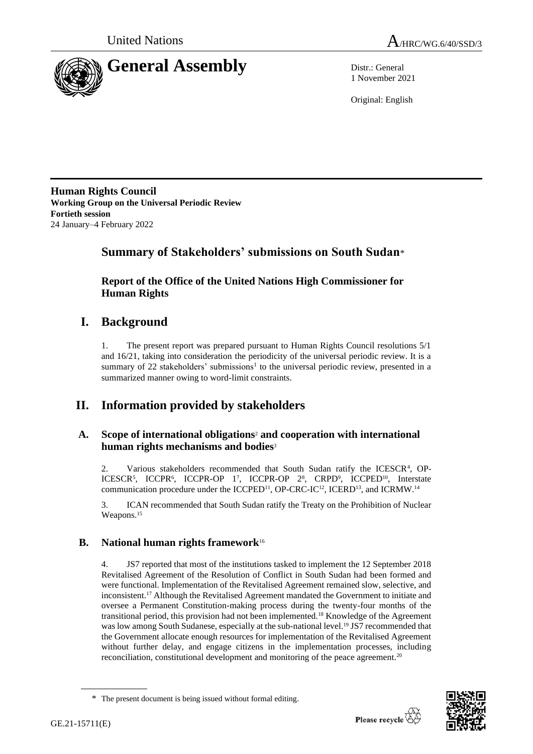



1 November 2021

Original: English

**Human Rights Council Working Group on the Universal Periodic Review Fortieth session** 24 January–4 February 2022

# **Summary of Stakeholders' submissions on South Sudan**\*

**Report of the Office of the United Nations High Commissioner for Human Rights**

# **I. Background**

1. The present report was prepared pursuant to Human Rights Council resolutions 5/1 and 16/21, taking into consideration the periodicity of the universal periodic review. It is a summary of 22 stakeholders' submissions<sup>1</sup> to the universal periodic review, presented in a summarized manner owing to word-limit constraints.

# **II. Information provided by stakeholders**

# **A. Scope of international obligations**<sup>2</sup> **and cooperation with international human rights mechanisms and bodies**<sup>3</sup>

2. Various stakeholders recommended that South Sudan ratify the ICESCR<sup>4</sup>, OP-ICESCR<sup>5</sup>, ICCPR<sup>6</sup>, ICCPR-OP 1<sup>7</sup>, ICCPR-OP 2<sup>8</sup>, CRPD<sup>9</sup>, ICCPED<sup>10</sup>, Interstate communication procedure under the ICCPED<sup>11</sup>, OP-CRC-IC<sup>12</sup>, ICERD<sup>13</sup>, and ICRMW.<sup>14</sup>

3. ICAN recommended that South Sudan ratify the Treaty on the Prohibition of Nuclear Weapons. 15

# **B. National human rights framework**<sup>16</sup>

4. JS7 reported that most of the institutions tasked to implement the 12 September 2018 Revitalised Agreement of the Resolution of Conflict in South Sudan had been formed and were functional. Implementation of the Revitalised Agreement remained slow, selective, and inconsistent.<sup>17</sup> Although the Revitalised Agreement mandated the Government to initiate and oversee a Permanent Constitution-making process during the twenty-four months of the transitional period, this provision had not been implemented.<sup>18</sup> Knowledge of the Agreement was low among South Sudanese, especially at the sub-national level.<sup>19</sup> JS7 recommended that the Government allocate enough resources for implementation of the Revitalised Agreement without further delay, and engage citizens in the implementation processes, including reconciliation, constitutional development and monitoring of the peace agreement.<sup>20</sup>



<sup>\*</sup> The present document is being issued without formal editing.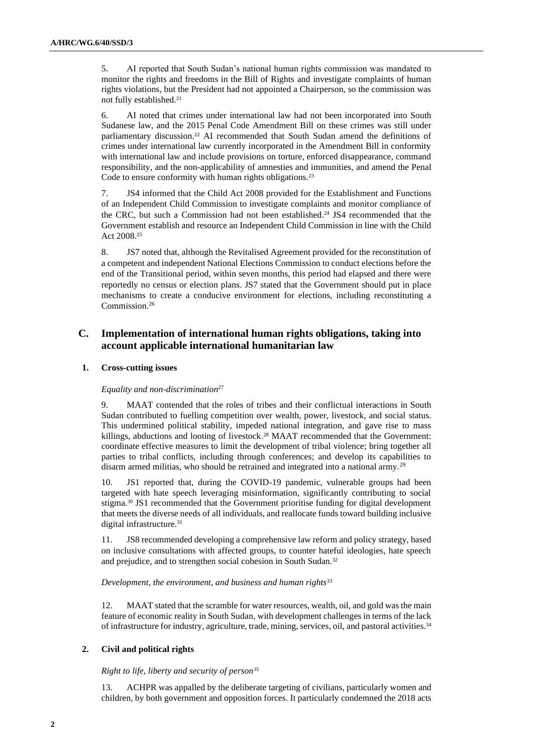5. AI reported that South Sudan's national human rights commission was mandated to monitor the rights and freedoms in the Bill of Rights and investigate complaints of human rights violations, but the President had not appointed a Chairperson, so the commission was not fully established.<sup>21</sup>

6. AI noted that crimes under international law had not been incorporated into South Sudanese law, and the 2015 Penal Code Amendment Bill on these crimes was still under parliamentary discussion. <sup>22</sup> AI recommended that South Sudan amend the definitions of crimes under international law currently incorporated in the Amendment Bill in conformity with international law and include provisions on torture, enforced disappearance, command responsibility, and the non-applicability of amnesties and immunities, and amend the Penal Code to ensure conformity with human rights obligations.<sup>23</sup>

7. JS4 informed that the Child Act 2008 provided for the Establishment and Functions of an Independent Child Commission to investigate complaints and monitor compliance of the CRC, but such a Commission had not been established. <sup>24</sup> JS4 recommended that the Government establish and resource an Independent Child Commission in line with the Child Act 2008.<sup>25</sup>

8. JS7 noted that, although the Revitalised Agreement provided for the reconstitution of a competent and independent National Elections Commission to conduct elections before the end of the Transitional period, within seven months, this period had elapsed and there were reportedly no census or election plans. JS7 stated that the Government should put in place mechanisms to create a conducive environment for elections, including reconstituting a Commission. 26

# **C. Implementation of international human rights obligations, taking into account applicable international humanitarian law**

## **1. Cross-cutting issues**

## *Equality and non-discrimination*<sup>27</sup>

9. MAAT contended that the roles of tribes and their conflictual interactions in South Sudan contributed to fuelling competition over wealth, power, livestock, and social status. This undermined political stability, impeded national integration, and gave rise to mass killings, abductions and looting of livestock. <sup>28</sup> MAAT recommended that the Government: coordinate effective measures to limit the development of tribal violence; bring together all parties to tribal conflicts, including through conferences; and develop its capabilities to disarm armed militias, who should be retrained and integrated into a national army.<sup>29</sup>

10. JS1 reported that, during the COVID-19 pandemic, vulnerable groups had been targeted with hate speech leveraging misinformation, significantly contributing to social stigma.<sup>30</sup> JS1 recommended that the Government prioritise funding for digital development that meets the diverse needs of all individuals, and reallocate funds toward building inclusive digital infrastructure.<sup>31</sup>

11. JS8 recommended developing a comprehensive law reform and policy strategy, based on inclusive consultations with affected groups, to counter hateful ideologies, hate speech and prejudice, and to strengthen social cohesion in South Sudan.<sup>32</sup>

## *Development, the environment, and business and human rights*<sup>33</sup>

12. MAAT stated that the scramble for water resources, wealth, oil, and gold was the main feature of economic reality in South Sudan, with development challenges in terms of the lack of infrastructure for industry, agriculture, trade, mining, services, oil, and pastoral activities.<sup>34</sup>

# **2. Civil and political rights**

## *Right to life, liberty and security of person*<sup>35</sup>

13. ACHPR was appalled by the deliberate targeting of civilians, particularly women and children, by both government and opposition forces. It particularly condemned the 2018 acts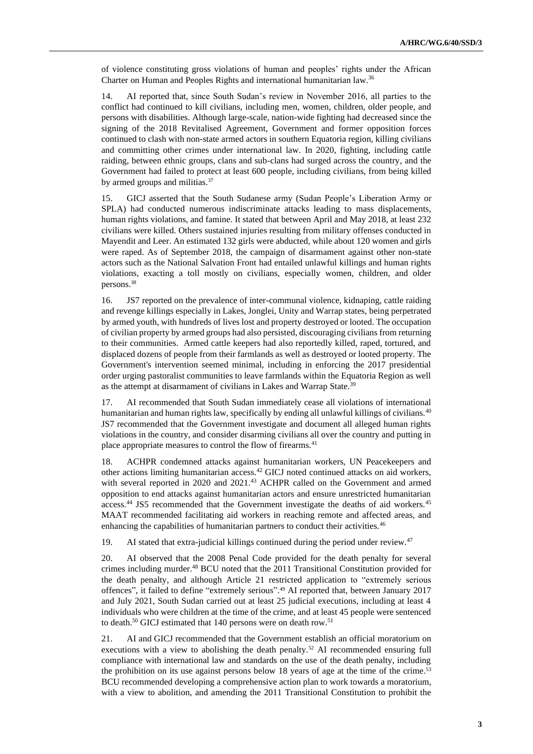of violence constituting gross violations of human and peoples' rights under the African Charter on Human and Peoples Rights and international humanitarian law.<sup>36</sup>

14. AI reported that, since South Sudan's review in November 2016, all parties to the conflict had continued to kill civilians, including men, women, children, older people, and persons with disabilities. Although large-scale, nation-wide fighting had decreased since the signing of the 2018 Revitalised Agreement, Government and former opposition forces continued to clash with non-state armed actors in southern Equatoria region, killing civilians and committing other crimes under international law. In 2020, fighting, including cattle raiding, between ethnic groups, clans and sub-clans had surged across the country, and the Government had failed to protect at least 600 people, including civilians, from being killed by armed groups and militias.<sup>37</sup>

15. GICJ asserted that the South Sudanese army (Sudan People's Liberation Army or SPLA) had conducted numerous indiscriminate attacks leading to mass displacements, human rights violations, and famine. It stated that between April and May 2018, at least 232 civilians were killed. Others sustained injuries resulting from military offenses conducted in Mayendit and Leer. An estimated 132 girls were abducted, while about 120 women and girls were raped. As of September 2018, the campaign of disarmament against other non-state actors such as the National Salvation Front had entailed unlawful killings and human rights violations, exacting a toll mostly on civilians, especially women, children, and older persons.<sup>38</sup>

16. JS7 reported on the prevalence of inter-communal violence, kidnaping, cattle raiding and revenge killings especially in Lakes, Jonglei, Unity and Warrap states, being perpetrated by armed youth, with hundreds of lives lost and property destroyed or looted. The occupation of civilian property by armed groups had also persisted, discouraging civilians from returning to their communities. Armed cattle keepers had also reportedly killed, raped, tortured, and displaced dozens of people from their farmlands as well as destroyed or looted property. The Government's intervention seemed minimal, including in enforcing the 2017 presidential order urging pastoralist communities to leave farmlands within the Equatoria Region as well as the attempt at disarmament of civilians in Lakes and Warrap State.<sup>39</sup>

17. AI recommended that South Sudan immediately cease all violations of international humanitarian and human rights law, specifically by ending all unlawful killings of civilians.<sup>40</sup> JS7 recommended that the Government investigate and document all alleged human rights violations in the country, and consider disarming civilians all over the country and putting in place appropriate measures to control the flow of firearms.<sup>41</sup>

18. ACHPR condemned attacks against humanitarian workers, UN Peacekeepers and other actions limiting humanitarian access.<sup>42</sup> GICJ noted continued attacks on aid workers, with several reported in 2020 and 2021.<sup>43</sup> ACHPR called on the Government and armed opposition to end attacks against humanitarian actors and ensure unrestricted humanitarian access.<sup>44</sup> JS5 recommended that the Government investigate the deaths of aid workers.<sup>45</sup> MAAT recommended facilitating aid workers in reaching remote and affected areas, and enhancing the capabilities of humanitarian partners to conduct their activities.<sup>46</sup>

19. AI stated that extra-judicial killings continued during the period under review. $47$ 

20. AI observed that the 2008 Penal Code provided for the death penalty for several crimes including murder.<sup>48</sup> BCU noted that the 2011 Transitional Constitution provided for the death penalty, and although Article 21 restricted application to "extremely serious offences", it failed to define "extremely serious". <sup>49</sup> AI reported that, between January 2017 and July 2021, South Sudan carried out at least 25 judicial executions, including at least 4 individuals who were children at the time of the crime, and at least 45 people were sentenced to death.<sup>50</sup> GICJ estimated that 140 persons were on death row.<sup>51</sup>

21. AI and GICJ recommended that the Government establish an official moratorium on executions with a view to abolishing the death penalty.<sup>52</sup> AI recommended ensuring full compliance with international law and standards on the use of the death penalty, including the prohibition on its use against persons below 18 years of age at the time of the crime.<sup>53</sup> BCU recommended developing a comprehensive action plan to work towards a moratorium, with a view to abolition, and amending the 2011 Transitional Constitution to prohibit the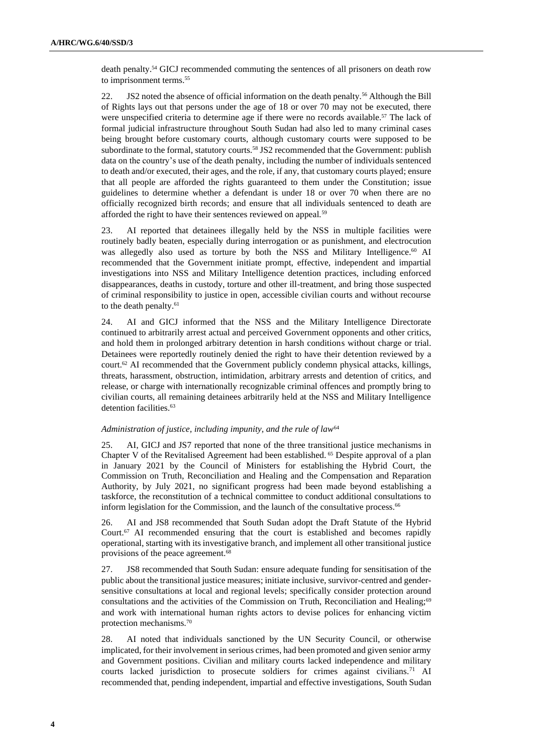death penalty. <sup>54</sup> GICJ recommended commuting the sentences of all prisoners on death row to imprisonment terms.<sup>55</sup>

22. JS2 noted the absence of official information on the death penalty.<sup>56</sup> Although the Bill of Rights lays out that persons under the age of 18 or over 70 may not be executed, there were unspecified criteria to determine age if there were no records available.<sup>57</sup> The lack of formal judicial infrastructure throughout South Sudan had also led to many criminal cases being brought before customary courts, although customary courts were supposed to be subordinate to the formal, statutory courts.<sup>58</sup> JS2 recommended that the Government: publish data on the country's use of the death penalty, including the number of individuals sentenced to death and/or executed, their ages, and the role, if any, that customary courts played; ensure that all people are afforded the rights guaranteed to them under the Constitution; issue guidelines to determine whether a defendant is under 18 or over 70 when there are no officially recognized birth records; and ensure that all individuals sentenced to death are afforded the right to have their sentences reviewed on appeal.<sup>59</sup>

23. AI reported that detainees illegally held by the NSS in multiple facilities were routinely badly beaten, especially during interrogation or as punishment, and electrocution was allegedly also used as torture by both the NSS and Military Intelligence.<sup>60</sup> AI recommended that the Government initiate prompt, effective, independent and impartial investigations into NSS and Military Intelligence detention practices, including enforced disappearances, deaths in custody, torture and other ill-treatment, and bring those suspected of criminal responsibility to justice in open, accessible civilian courts and without recourse to the death penalty.<sup>61</sup>

24. AI and GICJ informed that the NSS and the Military Intelligence Directorate continued to arbitrarily arrest actual and perceived Government opponents and other critics, and hold them in prolonged arbitrary detention in harsh conditions without charge or trial. Detainees were reportedly routinely denied the right to have their detention reviewed by a court.<sup>62</sup> AI recommended that the Government publicly condemn physical attacks, killings, threats, harassment, obstruction, intimidation, arbitrary arrests and detention of critics, and release, or charge with internationally recognizable criminal offences and promptly bring to civilian courts, all remaining detainees arbitrarily held at the NSS and Military Intelligence detention facilities.<sup>63</sup>

#### *Administration of justice, including impunity, and the rule of law*<sup>64</sup>

25. AI, GICJ and JS7 reported that none of the three transitional justice mechanisms in Chapter V of the Revitalised Agreement had been established. <sup>65</sup> Despite approval of a plan in January 2021 by the Council of Ministers for establishing the Hybrid Court, the Commission on Truth, Reconciliation and Healing and the Compensation and Reparation Authority, by July 2021, no significant progress had been made beyond establishing a taskforce, the reconstitution of a technical committee to conduct additional consultations to inform legislation for the Commission, and the launch of the consultative process.<sup>66</sup>

26. AI and JS8 recommended that South Sudan adopt the Draft Statute of the Hybrid Court. <sup>67</sup> AI recommended ensuring that the court is established and becomes rapidly operational, starting with its investigative branch, and implement all other transitional justice provisions of the peace agreement.<sup>68</sup>

27. JS8 recommended that South Sudan: ensure adequate funding for sensitisation of the public about the transitional justice measures; initiate inclusive, survivor-centred and gendersensitive consultations at local and regional levels; specifically consider protection around consultations and the activities of the Commission on Truth, Reconciliation and Healing;<sup>69</sup> and work with international human rights actors to devise polices for enhancing victim protection mechanisms.<sup>70</sup>

28. AI noted that individuals sanctioned by the UN Security Council, or otherwise implicated, for their involvement in serious crimes, had been promoted and given senior army and Government positions. Civilian and military courts lacked independence and military courts lacked jurisdiction to prosecute soldiers for crimes against civilians.<sup>71</sup> AI recommended that, pending independent, impartial and effective investigations, South Sudan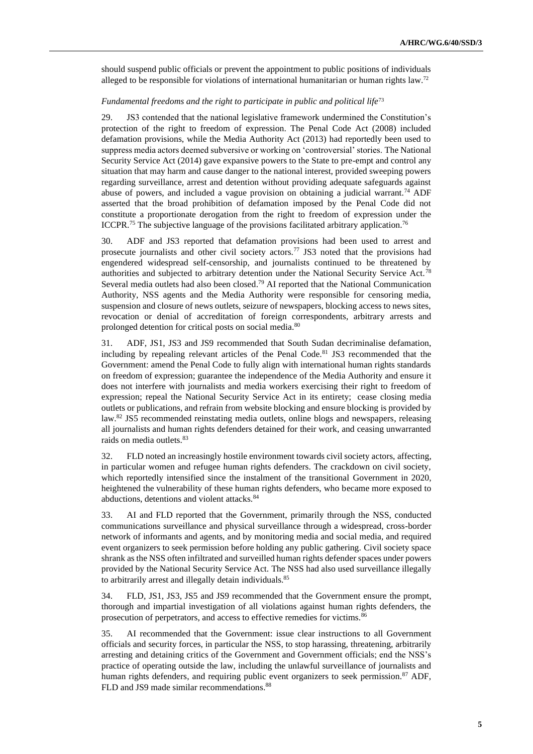should suspend public officials or prevent the appointment to public positions of individuals alleged to be responsible for violations of international humanitarian or human rights law.<sup>72</sup>

#### *Fundamental freedoms and the right to participate in public and political life*<sup>73</sup>

29. JS3 contended that the national legislative framework undermined the Constitution's protection of the right to freedom of expression. The Penal Code Act (2008) included defamation provisions, while the Media Authority Act (2013) had reportedly been used to suppress media actors deemed subversive or working on 'controversial' stories. The National Security Service Act (2014) gave expansive powers to the State to pre-empt and control any situation that may harm and cause danger to the national interest, provided sweeping powers regarding surveillance, arrest and detention without providing adequate safeguards against abuse of powers, and included a vague provision on obtaining a judicial warrant.<sup>74</sup> ADF asserted that the broad prohibition of defamation imposed by the Penal Code did not constitute a proportionate derogation from the right to freedom of expression under the ICCPR.<sup>75</sup> The subjective language of the provisions facilitated arbitrary application.<sup>76</sup>

30. ADF and JS3 reported that defamation provisions had been used to arrest and prosecute journalists and other civil society actors.<sup>77</sup> JS3 noted that the provisions had engendered widespread self-censorship, and journalists continued to be threatened by authorities and subjected to arbitrary detention under the National Security Service Act.<sup>78</sup> Several media outlets had also been closed.<sup>79</sup> AI reported that the National Communication Authority, NSS agents and the Media Authority were responsible for censoring media, suspension and closure of news outlets, seizure of newspapers, blocking access to news sites, revocation or denial of accreditation of foreign correspondents, arbitrary arrests and prolonged detention for critical posts on social media.<sup>80</sup>

31. ADF, JS1, JS3 and JS9 recommended that South Sudan decriminalise defamation, including by repealing relevant articles of the Penal Code.<sup>81</sup> JS3 recommended that the Government: amend the Penal Code to fully align with international human rights standards on freedom of expression; guarantee the independence of the Media Authority and ensure it does not interfere with journalists and media workers exercising their right to freedom of expression; repeal the National Security Service Act in its entirety; cease closing media outlets or publications, and refrain from website blocking and ensure blocking is provided by law.<sup>82</sup> JS5 recommended reinstating media outlets, online blogs and newspapers, releasing all journalists and human rights defenders detained for their work, and ceasing unwarranted raids on media outlets.<sup>83</sup>

32. FLD noted an increasingly hostile environment towards civil society actors, affecting, in particular women and refugee human rights defenders. The crackdown on civil society, which reportedly intensified since the instalment of the transitional Government in 2020, heightened the vulnerability of these human rights defenders, who became more exposed to abductions, detentions and violent attacks.<sup>84</sup>

33. AI and FLD reported that the Government, primarily through the NSS, conducted communications surveillance and physical surveillance through a widespread, cross-border network of informants and agents, and by monitoring media and social media, and required event organizers to seek permission before holding any public gathering. Civil society space shrank as the NSS often infiltrated and surveilled human rights defender spaces under powers provided by the National Security Service Act. The NSS had also used surveillance illegally to arbitrarily arrest and illegally detain individuals.<sup>85</sup>

34. FLD, JS1, JS3, JS5 and JS9 recommended that the Government ensure the prompt, thorough and impartial investigation of all violations against human rights defenders, the prosecution of perpetrators, and access to effective remedies for victims.<sup>86</sup>

35. AI recommended that the Government: issue clear instructions to all Government officials and security forces, in particular the NSS, to stop harassing, threatening, arbitrarily arresting and detaining critics of the Government and Government officials; end the NSS's practice of operating outside the law, including the unlawful surveillance of journalists and human rights defenders, and requiring public event organizers to seek permission.<sup>87</sup> ADF, FLD and JS9 made similar recommendations.<sup>88</sup>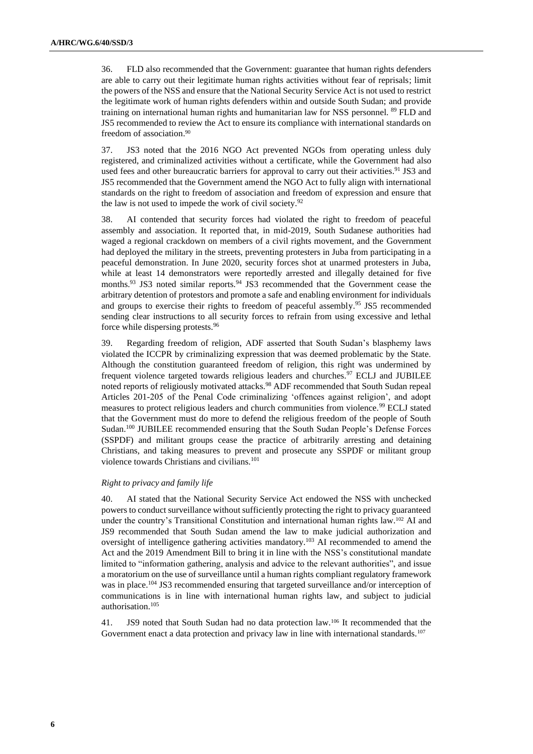36. FLD also recommended that the Government: guarantee that human rights defenders are able to carry out their legitimate human rights activities without fear of reprisals; limit the powers of the NSS and ensure that the National Security Service Act is not used to restrict the legitimate work of human rights defenders within and outside South Sudan; and provide training on international human rights and humanitarian law for NSS personnel. <sup>89</sup> FLD and JS5 recommended to review the Act to ensure its compliance with international standards on freedom of association. 90

37. JS3 noted that the 2016 NGO Act prevented NGOs from operating unless duly registered, and criminalized activities without a certificate, while the Government had also used fees and other bureaucratic barriers for approval to carry out their activities.<sup>91</sup> JS3 and JS5 recommended that the Government amend the NGO Act to fully align with international standards on the right to freedom of association and freedom of expression and ensure that the law is not used to impede the work of civil society.<sup>92</sup>

38. AI contended that security forces had violated the right to freedom of peaceful assembly and association. It reported that, in mid-2019, South Sudanese authorities had waged a regional crackdown on members of a civil rights movement, and the Government had deployed the military in the streets, preventing protesters in Juba from participating in a peaceful demonstration. In June 2020, security forces shot at unarmed protesters in Juba, while at least 14 demonstrators were reportedly arrested and illegally detained for five months.<sup>93</sup> JS3 noted similar reports.<sup>94</sup> JS3 recommended that the Government cease the arbitrary detention of protestors and promote a safe and enabling environment for individuals and groups to exercise their rights to freedom of peaceful assembly.<sup>95</sup> JS5 recommended sending clear instructions to all security forces to refrain from using excessive and lethal force while dispersing protests.<sup>96</sup>

39. Regarding freedom of religion, ADF asserted that South Sudan's blasphemy laws violated the ICCPR by criminalizing expression that was deemed problematic by the State. Although the constitution guaranteed freedom of religion, this right was undermined by frequent violence targeted towards religious leaders and churches.<sup>97</sup> ECLJ and JUBILEE noted reports of religiously motivated attacks.<sup>98</sup> ADF recommended that South Sudan repeal Articles 201-205 of the Penal Code criminalizing 'offences against religion', and adopt measures to protect religious leaders and church communities from violence.<sup>99</sup> ECLJ stated that the Government must do more to defend the religious freedom of the people of South Sudan.<sup>100</sup> JUBILEE recommended ensuring that the South Sudan People's Defense Forces (SSPDF) and militant groups cease the practice of arbitrarily arresting and detaining Christians, and taking measures to prevent and prosecute any SSPDF or militant group violence towards Christians and civilians.<sup>101</sup>

## *Right to privacy and family life*

40. AI stated that the National Security Service Act endowed the NSS with unchecked powers to conduct surveillance without sufficiently protecting the right to privacy guaranteed under the country's Transitional Constitution and international human rights law.<sup>102</sup> AI and JS9 recommended that South Sudan amend the law to make judicial authorization and oversight of intelligence gathering activities mandatory.<sup>103</sup> AI recommended to amend the Act and the 2019 Amendment Bill to bring it in line with the NSS's constitutional mandate limited to "information gathering, analysis and advice to the relevant authorities", and issue a moratorium on the use of surveillance until a human rights compliant regulatory framework was in place.<sup>104</sup> JS3 recommended ensuring that targeted surveillance and/or interception of communications is in line with international human rights law, and subject to judicial authorisation.<sup>105</sup>

41. JS9 noted that South Sudan had no data protection law.<sup>106</sup> It recommended that the Government enact a data protection and privacy law in line with international standards.<sup>107</sup>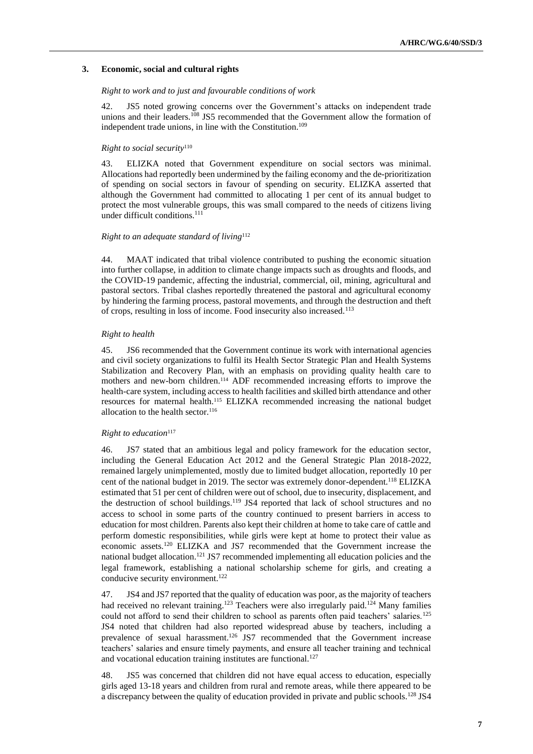#### **3. Economic, social and cultural rights**

#### *Right to work and to just and favourable conditions of work*

42. JS5 noted growing concerns over the Government's attacks on independent trade unions and their leaders.<sup>108</sup> JS5 recommended that the Government allow the formation of independent trade unions, in line with the Constitution.<sup>109</sup>

#### *Right to social security*<sup>110</sup>

43. ELIZKA noted that Government expenditure on social sectors was minimal. Allocations had reportedly been undermined by the failing economy and the de-prioritization of spending on social sectors in favour of spending on security. ELIZKA asserted that although the Government had committed to allocating 1 per cent of its annual budget to protect the most vulnerable groups, this was small compared to the needs of citizens living under difficult conditions.<sup>111</sup>

#### *Right to an adequate standard of living*<sup>112</sup>

44. MAAT indicated that tribal violence contributed to pushing the economic situation into further collapse, in addition to climate change impacts such as droughts and floods, and the COVID-19 pandemic, affecting the industrial, commercial, oil, mining, agricultural and pastoral sectors. Tribal clashes reportedly threatened the pastoral and agricultural economy by hindering the farming process, pastoral movements, and through the destruction and theft of crops, resulting in loss of income. Food insecurity also increased.<sup>113</sup>

#### *Right to health*

45. JS6 recommended that the Government continue its work with international agencies and civil society organizations to fulfil its Health Sector Strategic Plan and Health Systems Stabilization and Recovery Plan, with an emphasis on providing quality health care to mothers and new-born children.<sup>114</sup> ADF recommended increasing efforts to improve the health-care system, including access to health facilities and skilled birth attendance and other resources for maternal health.<sup>115</sup> ELIZKA recommended increasing the national budget allocation to the health sector.<sup>116</sup>

#### *Right to education*<sup>117</sup>

46. JS7 stated that an ambitious legal and policy framework for the education sector, including the General Education Act 2012 and the General Strategic Plan 2018-2022, remained largely unimplemented, mostly due to limited budget allocation, reportedly 10 per cent of the national budget in 2019. The sector was extremely donor-dependent.<sup>118</sup> ELIZKA estimated that 51 per cent of children were out of school, due to insecurity, displacement, and the destruction of school buildings.<sup>119</sup> JS4 reported that lack of school structures and no access to school in some parts of the country continued to present barriers in access to education for most children. Parents also kept their children at home to take care of cattle and perform domestic responsibilities, while girls were kept at home to protect their value as economic assets.<sup>120</sup> ELIZKA and JS7 recommended that the Government increase the national budget allocation.<sup>121</sup> JS7 recommended implementing all education policies and the legal framework, establishing a national scholarship scheme for girls, and creating a conducive security environment. 122

47. JS4 and JS7 reported that the quality of education was poor, as the majority of teachers had received no relevant training.<sup>123</sup> Teachers were also irregularly paid.<sup>124</sup> Many families could not afford to send their children to school as parents often paid teachers' salaries.<sup>125</sup> JS4 noted that children had also reported widespread abuse by teachers, including a prevalence of sexual harassment.<sup>126</sup> JS7 recommended that the Government increase teachers' salaries and ensure timely payments, and ensure all teacher training and technical and vocational education training institutes are functional.<sup>127</sup>

48. JS5 was concerned that children did not have equal access to education, especially girls aged 13-18 years and children from rural and remote areas, while there appeared to be a discrepancy between the quality of education provided in private and public schools.<sup>128</sup> JS4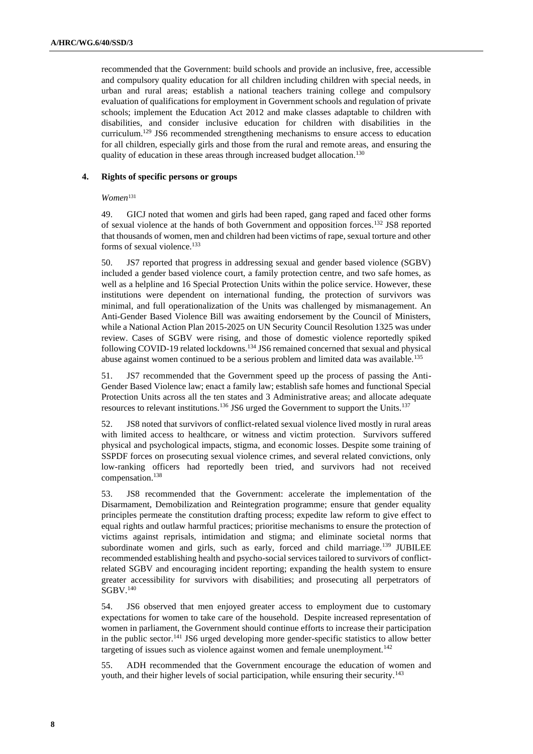recommended that the Government: build schools and provide an inclusive, free, accessible and compulsory quality education for all children including children with special needs, in urban and rural areas; establish a national teachers training college and compulsory evaluation of qualifications for employment in Government schools and regulation of private schools; implement the Education Act 2012 and make classes adaptable to children with disabilities, and consider inclusive education for children with disabilities in the curriculum. <sup>129</sup> JS6 recommended strengthening mechanisms to ensure access to education for all children, especially girls and those from the rural and remote areas, and ensuring the quality of education in these areas through increased budget allocation.<sup>130</sup>

### **4. Rights of specific persons or groups**

*Women*<sup>131</sup>

49. GICJ noted that women and girls had been raped, gang raped and faced other forms of sexual violence at the hands of both Government and opposition forces.<sup>132</sup> JS8 reported that thousands of women, men and children had been victims of rape, sexual torture and other forms of sexual violence.<sup>133</sup>

50. JS7 reported that progress in addressing sexual and gender based violence (SGBV) included a gender based violence court, a family protection centre, and two safe homes, as well as a helpline and 16 Special Protection Units within the police service. However, these institutions were dependent on international funding, the protection of survivors was minimal, and full operationalization of the Units was challenged by mismanagement. An Anti-Gender Based Violence Bill was awaiting endorsement by the Council of Ministers, while a National Action Plan 2015-2025 on UN Security Council Resolution 1325 was under review. Cases of SGBV were rising, and those of domestic violence reportedly spiked following COVID-19 related lockdowns.<sup>134</sup> JS6 remained concerned that sexual and physical abuse against women continued to be a serious problem and limited data was available.<sup>135</sup>

51. JS7 recommended that the Government speed up the process of passing the Anti-Gender Based Violence law; enact a family law; establish safe homes and functional Special Protection Units across all the ten states and 3 Administrative areas; and allocate adequate resources to relevant institutions.<sup>136</sup> JS6 urged the Government to support the Units.<sup>137</sup>

52. JS8 noted that survivors of conflict-related sexual violence lived mostly in rural areas with limited access to healthcare, or witness and victim protection. Survivors suffered physical and psychological impacts, stigma, and economic losses. Despite some training of SSPDF forces on prosecuting sexual violence crimes, and several related convictions, only low-ranking officers had reportedly been tried, and survivors had not received compensation.<sup>138</sup>

53. JS8 recommended that the Government: accelerate the implementation of the Disarmament, Demobilization and Reintegration programme; ensure that gender equality principles permeate the constitution drafting process; expedite law reform to give effect to equal rights and outlaw harmful practices; prioritise mechanisms to ensure the protection of victims against reprisals, intimidation and stigma; and eliminate societal norms that subordinate women and girls, such as early, forced and child marriage.<sup>139</sup> JUBILEE recommended establishing health and psycho-social services tailored to survivors of conflictrelated SGBV and encouraging incident reporting; expanding the health system to ensure greater accessibility for survivors with disabilities; and prosecuting all perpetrators of  $\rm{SGBV}.^{140}$ 

54. JS6 observed that men enjoyed greater access to employment due to customary expectations for women to take care of the household. Despite increased representation of women in parliament, the Government should continue efforts to increase their participation in the public sector.<sup>141</sup> JS6 urged developing more gender-specific statistics to allow better targeting of issues such as violence against women and female unemployment.<sup>142</sup>

55. ADH recommended that the Government encourage the education of women and youth, and their higher levels of social participation, while ensuring their security.143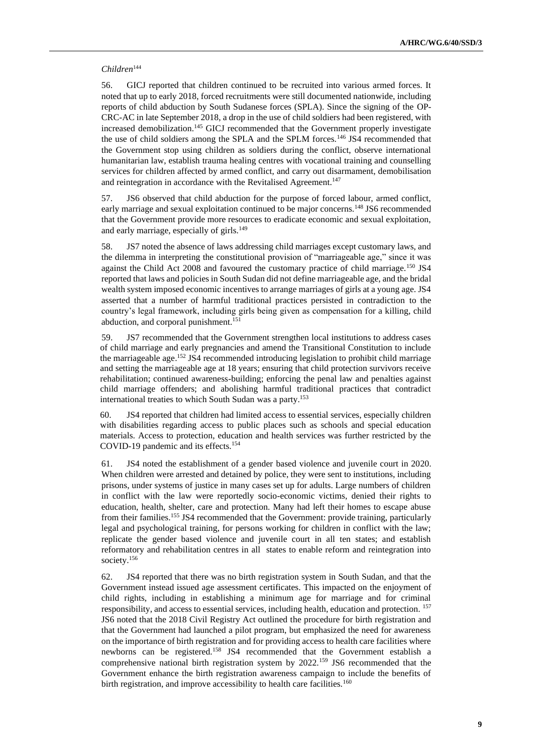#### *Children*<sup>144</sup>

56. GICJ reported that children continued to be recruited into various armed forces. It noted that up to early 2018, forced recruitments were still documented nationwide, including reports of child abduction by South Sudanese forces (SPLA). Since the signing of the OP-CRC-AC in late September 2018, a drop in the use of child soldiers had been registered, with increased demobilization.<sup>145</sup> GICJ recommended that the Government properly investigate the use of child soldiers among the SPLA and the SPLM forces.<sup>146</sup> JS4 recommended that the Government stop using children as soldiers during the conflict, observe international humanitarian law, establish trauma healing centres with vocational training and counselling services for children affected by armed conflict, and carry out disarmament, demobilisation and reintegration in accordance with the Revitalised Agreement.<sup>147</sup>

57. JS6 observed that child abduction for the purpose of forced labour, armed conflict, early marriage and sexual exploitation continued to be major concerns.<sup>148</sup> JS6 recommended that the Government provide more resources to eradicate economic and sexual exploitation, and early marriage, especially of girls.<sup>149</sup>

58. JS7 noted the absence of laws addressing child marriages except customary laws, and the dilemma in interpreting the constitutional provision of "marriageable age," since it was against the Child Act 2008 and favoured the customary practice of child marriage.<sup>150</sup> JS4 reported that laws and policies in South Sudan did not define marriageable age, and the bridal wealth system imposed economic incentives to arrange marriages of girls at a young age. JS4 asserted that a number of harmful traditional practices persisted in contradiction to the country's legal framework, including girls being given as compensation for a killing, child abduction, and corporal punishment.<sup>15</sup>

59. JS7 recommended that the Government strengthen local institutions to address cases of child marriage and early pregnancies and amend the Transitional Constitution to include the marriageable age. <sup>152</sup> JS4 recommended introducing legislation to prohibit child marriage and setting the marriageable age at 18 years; ensuring that child protection survivors receive rehabilitation; continued awareness-building; enforcing the penal law and penalties against child marriage offenders; and abolishing harmful traditional practices that contradict international treaties to which South Sudan was a party.<sup>153</sup>

60. JS4 reported that children had limited access to essential services, especially children with disabilities regarding access to public places such as schools and special education materials. Access to protection, education and health services was further restricted by the COVID-19 pandemic and its effects.<sup>154</sup>

61. JS4 noted the establishment of a gender based violence and juvenile court in 2020. When children were arrested and detained by police, they were sent to institutions, including prisons, under systems of justice in many cases set up for adults. Large numbers of children in conflict with the law were reportedly socio-economic victims, denied their rights to education, health, shelter, care and protection. Many had left their homes to escape abuse from their families.<sup>155</sup> JS4 recommended that the Government: provide training, particularly legal and psychological training, for persons working for children in conflict with the law; replicate the gender based violence and juvenile court in all ten states; and establish reformatory and rehabilitation centres in all states to enable reform and reintegration into society.<sup>156</sup>

62. JS4 reported that there was no birth registration system in South Sudan, and that the Government instead issued age assessment certificates. This impacted on the enjoyment of child rights, including in establishing a minimum age for marriage and for criminal responsibility, and access to essential services, including health, education and protection. <sup>157</sup> JS6 noted that the 2018 Civil Registry Act outlined the procedure for birth registration and that the Government had launched a pilot program, but emphasized the need for awareness on the importance of birth registration and for providing access to health care facilities where newborns can be registered.<sup>158</sup> JS4 recommended that the Government establish a comprehensive national birth registration system by 2022.<sup>159</sup> JS6 recommended that the Government enhance the birth registration awareness campaign to include the benefits of birth registration, and improve accessibility to health care facilities.<sup>160</sup>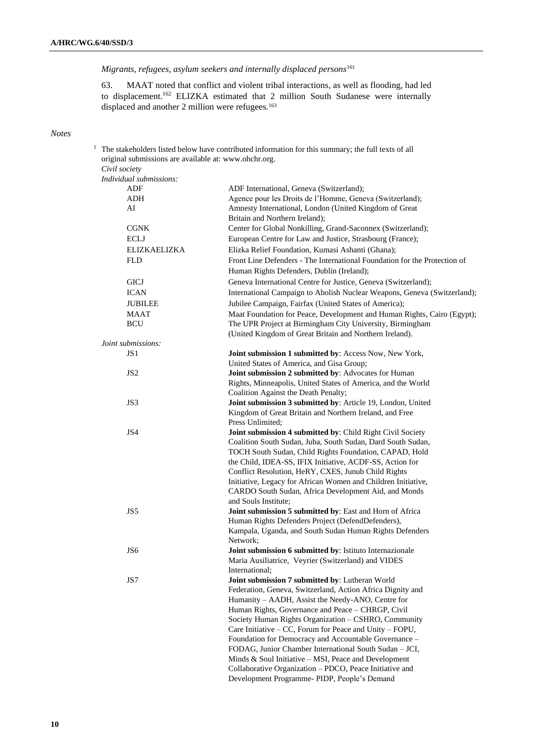*Migrants, refugees, asylum seekers and internally displaced persons*<sup>161</sup>

63. MAAT noted that conflict and violent tribal interactions, as well as flooding, had led to displacement.<sup>162</sup> ELIZKA estimated that 2 million South Sudanese were internally displaced and another 2 million were refugees.<sup>163</sup>

# *Notes*

| original submissions are available at: www.ohchr.org.<br>Civil society | The stakeholders listed below have contributed information for this summary; the full texts of all               |
|------------------------------------------------------------------------|------------------------------------------------------------------------------------------------------------------|
| Individual submissions:                                                |                                                                                                                  |
| ADF                                                                    | ADF International, Geneva (Switzerland);                                                                         |
| ADH                                                                    | Agence pour les Droits de l'Homme, Geneva (Switzerland);                                                         |
| AI                                                                     | Amnesty International, London (United Kingdom of Great                                                           |
|                                                                        | Britain and Northern Ireland);                                                                                   |
| <b>CGNK</b>                                                            | Center for Global Nonkilling, Grand-Saconnex (Switzerland);                                                      |
| <b>ECLJ</b>                                                            | European Centre for Law and Justice, Strasbourg (France);                                                        |
| <b>ELIZKAELIZKA</b>                                                    | Elizka Relief Foundation, Kumasi Ashanti (Ghana);                                                                |
| <b>FLD</b>                                                             | Front Line Defenders - The International Foundation for the Protection of                                        |
|                                                                        | Human Rights Defenders, Dublin (Ireland);                                                                        |
| <b>GICJ</b>                                                            | Geneva International Centre for Justice, Geneva (Switzerland);                                                   |
|                                                                        |                                                                                                                  |
| <b>ICAN</b>                                                            | International Campaign to Abolish Nuclear Weapons, Geneva (Switzerland);                                         |
| <b>JUBILEE</b>                                                         | Jubilee Campaign, Fairfax (United States of America);                                                            |
| <b>MAAT</b>                                                            | Maat Foundation for Peace, Development and Human Rights, Cairo (Egypt);                                          |
| <b>BCU</b>                                                             | The UPR Project at Birmingham City University, Birmingham                                                        |
|                                                                        | (United Kingdom of Great Britain and Northern Ireland).                                                          |
| Joint submissions:<br>JS1                                              | Joint submission 1 submitted by: Access Now, New York,                                                           |
|                                                                        | United States of America, and Gisa Group;                                                                        |
| JS <sub>2</sub>                                                        | Joint submission 2 submitted by: Advocates for Human                                                             |
|                                                                        | Rights, Minneapolis, United States of America, and the World                                                     |
|                                                                        | Coalition Against the Death Penalty;                                                                             |
| JS3                                                                    | Joint submission 3 submitted by: Article 19, London, United                                                      |
|                                                                        | Kingdom of Great Britain and Northern Ireland, and Free                                                          |
|                                                                        | Press Unlimited;                                                                                                 |
| JS4                                                                    | Joint submission 4 submitted by: Child Right Civil Society                                                       |
|                                                                        | Coalition South Sudan, Juba, South Sudan, Dard South Sudan,                                                      |
|                                                                        | TOCH South Sudan, Child Rights Foundation, CAPAD, Hold                                                           |
|                                                                        | the Child, IDEA-SS, IFIX Initiative, ACDF-SS, Action for                                                         |
|                                                                        | Conflict Resolution, HeRY, CXES, Junub Child Rights                                                              |
|                                                                        | Initiative, Legacy for African Women and Children Initiative,                                                    |
|                                                                        | CARDO South Sudan, Africa Development Aid, and Monds                                                             |
|                                                                        | and Souls Institute;                                                                                             |
| JS5                                                                    | Joint submission 5 submitted by: East and Horn of Africa                                                         |
|                                                                        | Human Rights Defenders Project (DefendDefenders),                                                                |
|                                                                        | Kampala, Uganda, and South Sudan Human Rights Defenders                                                          |
|                                                                        | Network;                                                                                                         |
| JS6                                                                    | Joint submission 6 submitted by: Istituto Internazionale                                                         |
|                                                                        | Maria Ausiliatrice, Veyrier (Switzerland) and VIDES                                                              |
|                                                                        | International;                                                                                                   |
| JS7                                                                    | Joint submission 7 submitted by: Lutheran World                                                                  |
|                                                                        | Federation, Geneva, Switzerland, Action Africa Dignity and                                                       |
|                                                                        | Humanity - AADH, Assist the Needy-ANO, Centre for                                                                |
|                                                                        | Human Rights, Governance and Peace - CHRGP, Civil                                                                |
|                                                                        | Society Human Rights Organization - CSHRO, Community                                                             |
|                                                                        | Care Initiative – CC, Forum for Peace and Unity – FOPU,<br>Foundation for Democracy and Accountable Governance - |
|                                                                        | FODAG, Junior Chamber International South Sudan - JCI,                                                           |
|                                                                        | Minds & Soul Initiative - MSI, Peace and Development                                                             |
|                                                                        | Collaborative Organization - PDCO, Peace Initiative and                                                          |
|                                                                        | Development Programme- PIDP, People's Demand                                                                     |
|                                                                        |                                                                                                                  |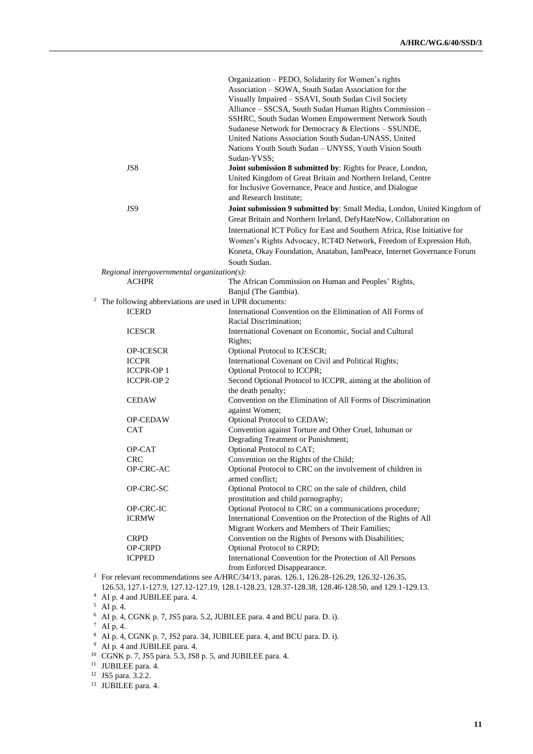|                                                                     | Organization – PEDO, Solidarity for Women's rights                                        |
|---------------------------------------------------------------------|-------------------------------------------------------------------------------------------|
|                                                                     | Association - SOWA, South Sudan Association for the                                       |
|                                                                     | Visually Impaired - SSAVI, South Sudan Civil Society                                      |
|                                                                     | Alliance – SSCSA, South Sudan Human Rights Commission –                                   |
|                                                                     | SSHRC, South Sudan Women Empowerment Network South                                        |
|                                                                     | Sudanese Network for Democracy & Elections - SSUNDE,                                      |
|                                                                     | United Nations Association South Sudan-UNASS, United                                      |
|                                                                     | Nations Youth South Sudan - UNYSS, Youth Vision South                                     |
|                                                                     | Sudan-YVSS;                                                                               |
| JS8                                                                 | Joint submission 8 submitted by: Rights for Peace, London,                                |
|                                                                     | United Kingdom of Great Britain and Northern Ireland, Centre                              |
|                                                                     | for Inclusive Governance, Peace and Justice, and Dialogue                                 |
|                                                                     | and Research Institute;                                                                   |
| JS <sub>9</sub>                                                     | Joint submission 9 submitted by: Small Media, London, United Kingdom of                   |
|                                                                     | Great Britain and Northern Ireland, DefyHateNow, Collaboration on                         |
|                                                                     | International ICT Policy for East and Southern Africa, Rise Initiative for                |
|                                                                     |                                                                                           |
|                                                                     | Women's Rights Advocacy, ICT4D Network, Freedom of Expression Hub,                        |
|                                                                     | Koneta, Okay Foundation, Anataban, IamPeace, Internet Governance Forum                    |
|                                                                     | South Sudan.                                                                              |
| Regional intergovernmental organization(s):                         |                                                                                           |
| <b>ACHPR</b>                                                        | The African Commission on Human and Peoples' Rights,                                      |
|                                                                     | Banjul (The Gambia).                                                                      |
| <sup>2</sup> The following abbreviations are used in UPR documents: |                                                                                           |
| <b>ICERD</b>                                                        | International Convention on the Elimination of All Forms of                               |
|                                                                     | Racial Discrimination;                                                                    |
| <b>ICESCR</b>                                                       | International Covenant on Economic, Social and Cultural                                   |
|                                                                     | Rights;                                                                                   |
| <b>OP-ICESCR</b>                                                    | Optional Protocol to ICESCR;                                                              |
| <b>ICCPR</b>                                                        | International Covenant on Civil and Political Rights;                                     |
| <b>ICCPR-OP1</b>                                                    | Optional Protocol to ICCPR;                                                               |
| <b>ICCPR-OP2</b>                                                    | Second Optional Protocol to ICCPR, aiming at the abolition of                             |
|                                                                     | the death penalty;                                                                        |
| <b>CEDAW</b>                                                        | Convention on the Elimination of All Forms of Discrimination                              |
|                                                                     | against Women;                                                                            |
| <b>OP-CEDAW</b>                                                     | Optional Protocol to CEDAW;                                                               |
| <b>CAT</b>                                                          | Convention against Torture and Other Cruel, Inhuman or                                    |
|                                                                     | Degrading Treatment or Punishment;                                                        |
| OP-CAT                                                              | Optional Protocol to CAT;                                                                 |
| <b>CRC</b>                                                          | Convention on the Rights of the Child;                                                    |
| OP-CRC-AC                                                           | Optional Protocol to CRC on the involvement of children in                                |
|                                                                     | armed conflict;                                                                           |
| OP-CRC-SC                                                           | Optional Protocol to CRC on the sale of children, child                                   |
|                                                                     | prostitution and child pornography;                                                       |
| OP-CRC-IC                                                           | Optional Protocol to CRC on a communications procedure;                                   |
| <b>ICRMW</b>                                                        | International Convention on the Protection of the Rights of All                           |
|                                                                     | Migrant Workers and Members of Their Families;                                            |
| <b>CRPD</b>                                                         | Convention on the Rights of Persons with Disabilities;                                    |
| OP-CRPD                                                             | Optional Protocol to CRPD;                                                                |
| <b>ICPPED</b>                                                       | International Convention for the Protection of All Persons                                |
|                                                                     | from Enforced Disappearance.                                                              |
|                                                                     | For relevant recommendations see A/HRC/34/13, paras. 126.1, 126.28-126.29, 126.32-126.35, |

126.53, 127.1-127.9, 127.12-127.19, 128.1-128.23, 128.37-128.38, 128.46-128.50, and 129.1-129.13. <sup>4</sup> AI p. 4 and JUBILEE para. 4.

 $5$  AI p. 4.

<sup>6</sup> AI p. 4, CGNK p. 7, JS5 para. 5.2, JUBILEE para. 4 and BCU para. D. i).

 $7$  AI p. 4.

 $8$  AI p. 4, CGNK p. 7, JS2 para. 34, JUBILEE para. 4, and BCU para. D. i).

<sup>9</sup> AI p. 4 and JUBILEE para. 4.

<sup>10</sup> CGNK p. 7, JS5 para. 5.3, JS8 p. 5, and JUBILEE para. 4.

<sup>11</sup> JUBILEE para. 4.

<sup>12</sup> JS5 para. 3.2.2.

<sup>&</sup>lt;sup>13</sup> JUBILEE para. 4.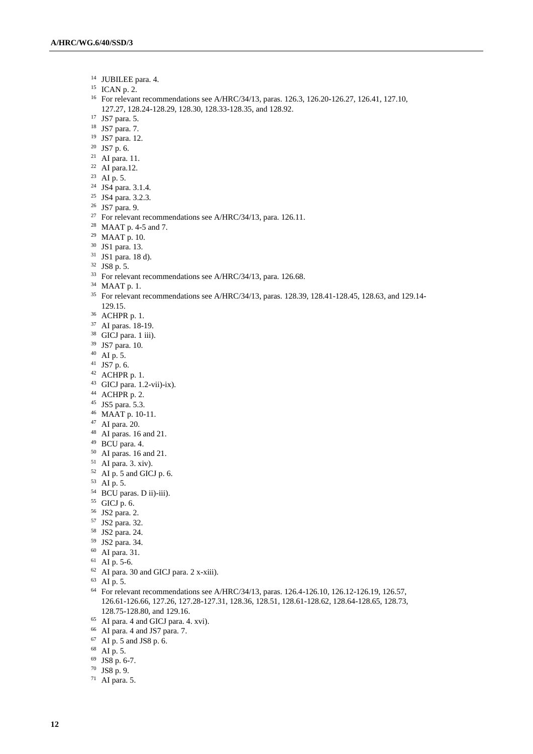- JUBILEE para. 4.
- ICAN p. 2.
- For relevant recommendations see A/HRC/34/13, paras. 126.3, 126.20-126.27, 126.41, 127.10, 127.27, 128.24-128.29, 128.30, 128.33-128.35, and 128.92.
- JS7 para. 5.
- JS7 para. 7.
- JS7 para. 12.
- JS7 p. 6.
- AI para. 11.
- AI para.12.
- AI p. 5.
- JS4 para. 3.1.4.
- JS4 para. 3.2.3.
- JS7 para. 9.
- 
- <sup>27</sup> For relevant recommendations see A/HRC/34/13, para. 126.11.
- MAAT p. 4-5 and 7.
- MAAT p. 10.
- JS1 para. 13.
- JS1 para. 18 d).
- JS8 p. 5.
- <sup>33</sup> For relevant recommendations see A/HRC/34/13, para. 126.68.
- MAAT p. 1.
- <sup>35</sup> For relevant recommendations see A/HRC/34/13, paras. 128.39, 128.41-128.45, 128.63, and 129.14-129.15.
- ACHPR p. 1.
- AI paras. 18-19.
- <sup>38</sup> GICJ para. 1 iii).
- JS7 para. 10.
- AI p. 5.
- JS7 p. 6.
- ACHPR p. 1.
- GICJ para. 1.2-vii)-ix).
- ACHPR p. 2.
- JS5 para. 5.3.
- MAAT p. 10-11.
- AI para. 20.
- 
- AI paras. 16 and 21.
- BCU para. 4.
- AI paras. 16 and 21.
- AI para. 3. xiv).
- AI p. 5 and GICJ p. 6.
- AI p. 5.
- BCU paras. D ii)-iii).
- GICJ p. 6.
- JS2 para. 2.
- JS2 para. 32.
- JS2 para. 24.
- JS2 para. 34.
- AI para. 31.
- AI p. 5-6.
- AI para. 30 and GICJ para. 2 x-xiii).
- AI p. 5.
- For relevant recommendations see A/HRC/34/13, paras. 126.4-126.10, 126.12-126.19, 126.57, 126.61-126.66, 127.26, 127.28-127.31, 128.36, 128.51, 128.61-128.62, 128.64-128.65, 128.73, 128.75-128.80, and 129.16.
- AI para. 4 and GICJ para. 4. xvi).
- AI para. 4 and JS7 para. 7.
- AI p. 5 and JS8 p. 6.
- AI p. 5.
- JS8 p. 6-7.
- JS8 p. 9.
- AI para. 5.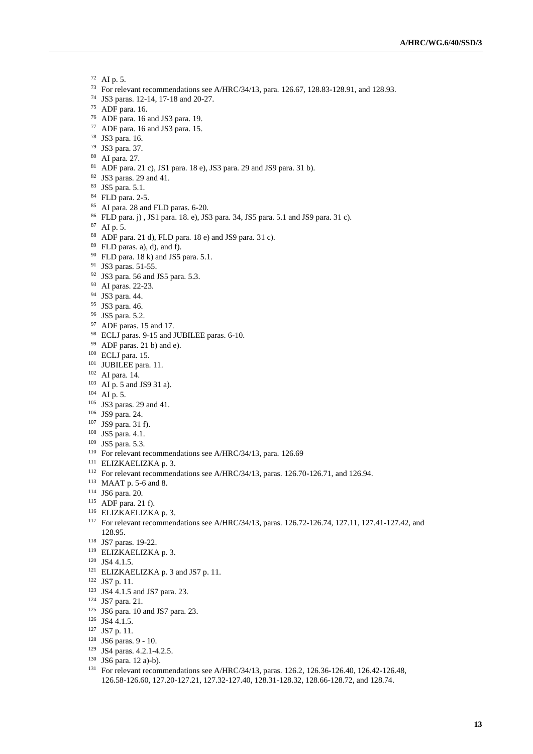- AI p. 5.
- For relevant recommendations see A/HRC/34/13, para. 126.67, 128.83-128.91, and 128.93.
- JS3 paras. 12-14, 17-18 and 20-27.
- ADF para. 16.
- ADF para. 16 and JS3 para. 19.
- ADF para. 16 and JS3 para. 15.
- JS3 para. 16.
- JS3 para. 37.
- AI para. 27.
- ADF para. 21 c), JS1 para. 18 e), JS3 para. 29 and JS9 para. 31 b).
- JS3 paras. 29 and 41.
- JS5 para. 5.1.
- FLD para. 2-5.
- AI para. 28 and FLD paras. 6-20.
- FLD para. j) , JS1 para. 18. e), JS3 para. 34, JS5 para. 5.1 and JS9 para. 31 c).
- AI p. 5.
- ADF para. 21 d), FLD para. 18 e) and JS9 para. 31 c).
- FLD paras. a), d), and f).
- FLD para. 18 k) and JS5 para. 5.1.
- JS3 paras. 51-55.
- JS3 para. 56 and JS5 para. 5.3.
- AI paras. 22-23.
- JS3 para. 44.
- JS3 para. 46.
- JS5 para. 5.2.
- ADF paras. 15 and 17.
- ECLJ paras. 9-15 and JUBILEE paras. 6-10.
- ADF paras. 21 b) and e).
- ECLJ para. 15.
- JUBILEE para. 11.
- AI para. 14.
- AI p. 5 and JS9 31 a).
- AI p. 5.
- <sup>105</sup> JS3 paras. 29 and 41.
- JS9 para. 24.
- JS9 para. 31 f).
- JS5 para. 4.1.
- JS5 para. 5.3.
- For relevant recommendations see A/HRC/34/13, para. 126.69
- ELIZKAELIZKA p. 3.
- For relevant recommendations see A/HRC/34/13, paras. 126.70-126.71, and 126.94.
- MAAT p. 5-6 and 8.
- JS6 para. 20.
- ADF para. 21 f).
- ELIZKAELIZKA p. 3.
- For relevant recommendations see A/HRC/34/13, paras. 126.72-126.74, 127.11, 127.41-127.42, and 128.95.
- JS7 paras. 19-22.
- ELIZKAELIZKA p. 3.
- JS4 4.1.5.
- ELIZKAELIZKA p. 3 and JS7 p. 11.
- JS7 p. 11.
- JS4 4.1.5 and JS7 para. 23.
- JS7 para. 21.
- JS6 para. 10 and JS7 para. 23.
- JS4 4.1.5.
- JS7 p. 11.
- JS6 paras. 9 10.
- JS4 paras. 4.2.1-4.2.5.
- JS6 para. 12 a)-b).
- For relevant recommendations see A/HRC/34/13, paras. 126.2, 126.36-126.40, 126.42-126.48, 126.58-126.60, 127.20-127.21, 127.32-127.40, 128.31-128.32, 128.66-128.72, and 128.74.